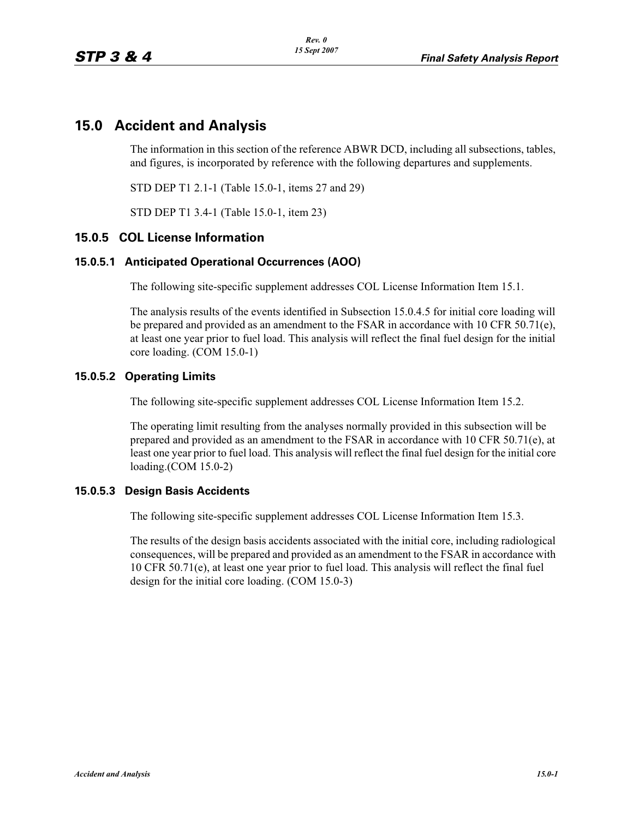## **15.0 Accident and Analysis**

The information in this section of the reference ABWR DCD, including all subsections, tables, and figures, is incorporated by reference with the following departures and supplements.

STD DEP T1 2.1-1 (Table 15.0-1, items 27 and 29)

STD DEP T1 3.4-1 (Table 15.0-1, item 23)

### **15.0.5 COL License Information**

#### **15.0.5.1 Anticipated Operational Occurrences (AOO)**

The following site-specific supplement addresses COL License Information Item 15.1.

The analysis results of the events identified in Subsection 15.0.4.5 for initial core loading will be prepared and provided as an amendment to the FSAR in accordance with 10 CFR 50.71(e), at least one year prior to fuel load. This analysis will reflect the final fuel design for the initial core loading. (COM 15.0-1)

#### **15.0.5.2 Operating Limits**

The following site-specific supplement addresses COL License Information Item 15.2.

The operating limit resulting from the analyses normally provided in this subsection will be prepared and provided as an amendment to the FSAR in accordance with 10 CFR 50.71(e), at least one year prior to fuel load. This analysis will reflect the final fuel design for the initial core loading.(COM 15.0-2)

#### **15.0.5.3 Design Basis Accidents**

The following site-specific supplement addresses COL License Information Item 15.3.

The results of the design basis accidents associated with the initial core, including radiological consequences, will be prepared and provided as an amendment to the FSAR in accordance with 10 CFR 50.71(e), at least one year prior to fuel load. This analysis will reflect the final fuel design for the initial core loading. (COM 15.0-3)